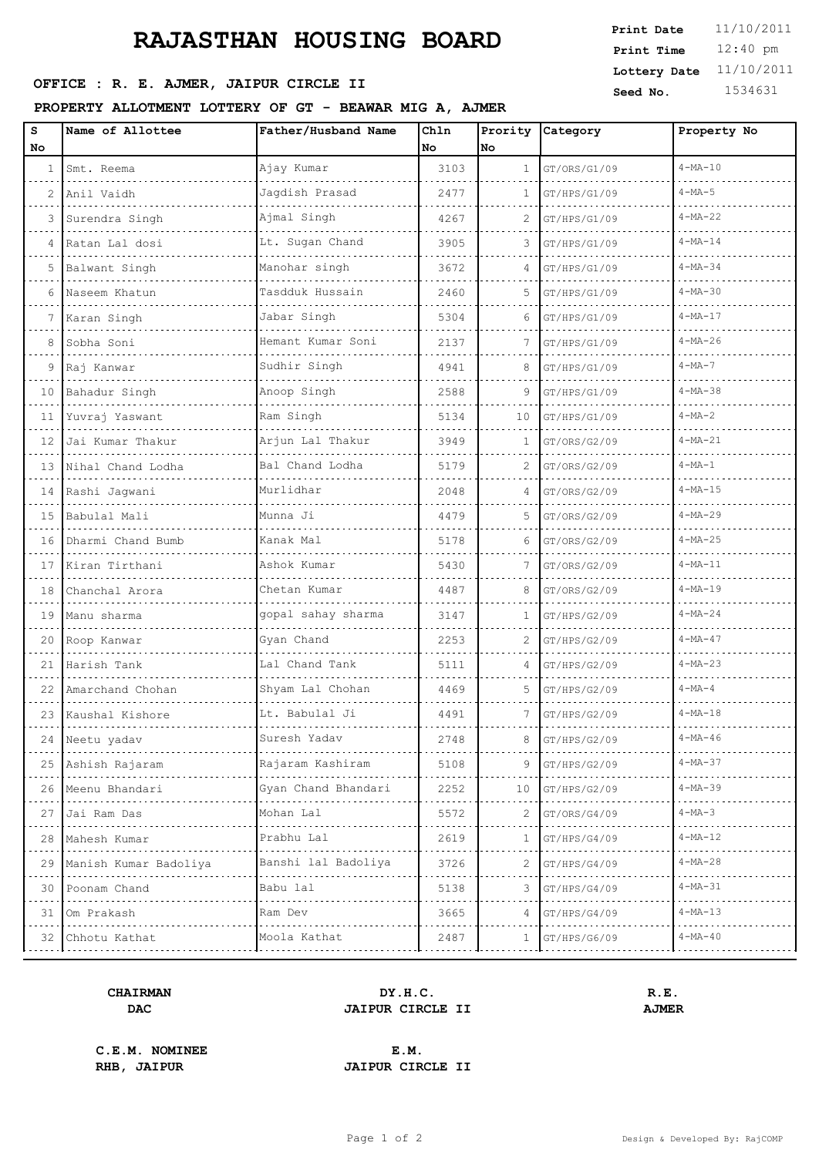# **RAJASTHAN HOUSING BOARD**

## **SEED OFFICE : R. E. AJMER, JAIPUR CIRCLE II** Seed No. 1534631

**PROPERTY ALLOTMENT LOTTERY OF GT - BEAWAR MIG A, AJMER**

| S               | Name of Allottee           | Father/Husband Name | Chln | Prority      | Category     | Property No   |
|-----------------|----------------------------|---------------------|------|--------------|--------------|---------------|
| No.             |                            |                     | No   | No           |              | $4 - MA - 10$ |
| $\mathbf{1}$    | Smt. Reema                 | Ajay Kumar          | 3103 | $\mathbf{1}$ | GT/ORS/G1/09 |               |
|                 | 2   Anil Vaidh             | Jagdish Prasad      | 2477 | 1            | GT/HPS/G1/09 | $4 - MA - 5$  |
| 3               | Surendra Singh             | Ajmal Singh         | 4267 | 2            | GT/HPS/G1/09 | $4 - MA - 22$ |
| 4               | Ratan Lal dosi             | Lt. Sugan Chand     | 3905 | 3            | GT/HPS/G1/09 | $4 - MA - 14$ |
|                 | 5 Balwant Singh            | Manohar singh       | 3672 | 4            | GT/HPS/G1/09 | $4 - MA - 34$ |
| 6               | Naseem Khatun              | Tasdduk Hussain     | 2460 | 5            | GT/HPS/G1/09 | $4 - MA - 30$ |
| 7               | Karan Singh                | Jabar Singh         | 5304 | 6            | GT/HPS/G1/09 | $4 - MA - 17$ |
| 8               | Sobha Soni                 | Hemant Kumar Soni   | 2137 |              | GT/HPS/G1/09 | $4 - MA - 26$ |
| 9               | Raj Kanwar                 | Sudhir Singh        | 4941 | 8            | GT/HPS/G1/09 | $4 - MA - 7$  |
| 10              | Bahadur Singh              | Anoop Singh         | 2588 | 9            | GT/HPS/G1/09 | $4 - MA - 38$ |
| 11              | Yuvraj Yaswant             | Ram Singh           | 5134 | 10           | GT/HPS/G1/09 | $4-MA-2$      |
| 12 <sup>°</sup> | Jai Kumar Thakur           | Arjun Lal Thakur    | 3949 | 1            | GT/ORS/G2/09 | $4 - MA - 21$ |
| $13-1$          | Nihal Chand Lodha          | Bal Chand Lodha     | 5179 | 2            | GT/ORS/G2/09 | $4 - MA - 1$  |
|                 | 14 Rashi Jagwani           | Murlidhar           | 2048 | 4            | GT/ORS/G2/09 | $4 - MA - 15$ |
| 15              | Babulal Mali               | Munna Ji            | 4479 | 5            | GT/ORS/G2/09 | $4 - MA - 29$ |
| 16              | Dharmi Chand Bumb          | Kanak Mal           | 5178 | 6            | GT/ORS/G2/09 | $4 - MA - 25$ |
| 17              | Kiran Tirthani             | Ashok Kumar         | 5430 | 7            | GT/ORS/G2/09 | $4 - MA - 11$ |
| 18              | Chanchal Arora             | Chetan Kumar        | 4487 | 8            | GT/ORS/G2/09 | $4 - MA - 19$ |
| 19              | Manu sharma                | gopal sahay sharma  | 3147 | $\mathbf{1}$ | GT/HPS/G2/09 | $4 - MA - 24$ |
| 20              | Roop Kanwar                | Gyan Chand          | 2253 | 2            | GT/HPS/G2/09 | $4 - MA - 47$ |
| 21              | Harish Tank                | Lal Chand Tank      | 5111 | 4            | GT/HPS/G2/09 | $4 - MA - 23$ |
| 22              | Amarchand Chohan           | Shyam Lal Chohan    | 4469 | 5            | GT/HPS/G2/09 | $4 - MA - 4$  |
|                 | 23 Kaushal Kishore         | Lt. Babulal Ji      | 4491 | 7            | GT/HPS/G2/09 | $4 - MA - 18$ |
|                 | 24 Neetu yadav             | Suresh Yadav        | 2748 | 8            | GT/HPS/G2/09 | $4 - MA - 46$ |
|                 | 25 Ashish Rajaram          | Rajaram Kashiram    | 5108 | 9.           | GT/HPS/G2/09 | $4 - MA - 37$ |
|                 | 26 Meenu Bhandari          | Gyan Chand Bhandari | 2252 | 10           | GT/HPS/G2/09 | $4 - MA - 39$ |
| 27              | Jai Ram Das                | Mohan Lal           | 5572 | 2            | GT/ORS/G4/09 | $4-MA-3$      |
| 28              | Mahesh Kumar               | Prabhu Lal          | 2619 | 1            | GT/HPS/G4/09 | $4 - MA - 12$ |
|                 | 29   Manish Kumar Badoliya | Banshi lal Badoliya | 3726 | 2            | GT/HPS/G4/09 | $4 - MA - 28$ |
| 30              | Poonam Chand               | Babu lal            | 5138 | 3            | GT/HPS/G4/09 | $4 - MA - 31$ |
| 31              | Om Prakash                 | Ram Dev             | 3665 | 4            | GT/HPS/G4/09 | $4 - MA - 13$ |
|                 | 32 Chhotu Kathat           | Moola Kathat        | 2487 | $\mathbf{1}$ | GT/HPS/G6/09 | $4 - MA - 40$ |

#### **CHAIRMAN DY.H.C. R.E. DAC JAIPUR CIRCLE II AJMER**

**C.E.M. NOMINEE E.M.**

**RHB, JAIPUR JAIPUR CIRCLE II**